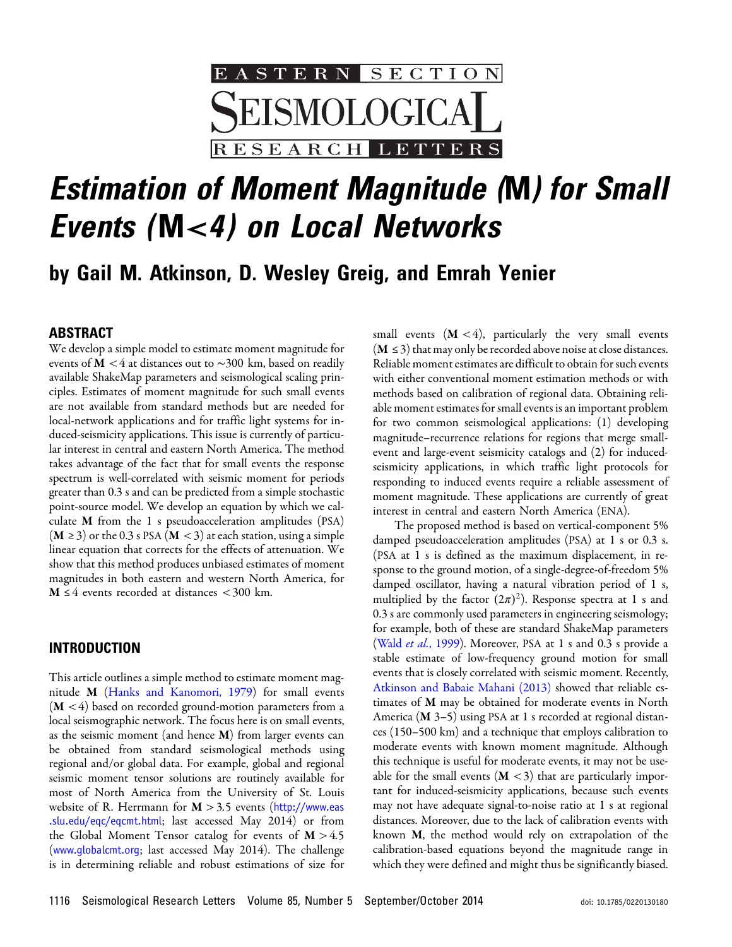

# Estimation of Moment Magnitude (M) for Small Events (M*<4*) on Local Networks

## by Gail M. Atkinson, D. Wesley Greig, and Emrah Yenier

#### ABSTRACT

We develop a simple model to estimate moment magnitude for events of M <4 at distances out to ∼300 km, based on readily available ShakeMap parameters and seismological scaling principles. Estimates of moment magnitude for such small events are not available from standard methods but are needed for local-network applications and for traffic light systems for induced-seismicity applications. This issue is currently of particular interest in central and eastern North America. The method takes advantage of the fact that for small events the response spectrum is well-correlated with seismic moment for periods greater than 0.3 s and can be predicted from a simple stochastic point-source model. We develop an equation by which we calculate M from the 1 s pseudoacceleration amplitudes (PSA)  $(M \ge 3)$  or the 0.3 s PSA  $(M < 3)$  at each station, using a simple linear equation that corrects for the effects of attenuation. We show that this method produces unbiased estimates of moment magnitudes in both eastern and western North America, for  $M \leq 4$  events recorded at distances <300 km.

#### INTRODUCTION

This article outlines a simple method to estimate moment magnitude M ([Hanks and Kanomori, 1979](#page-8-0)) for small events  $(M < 4)$  based on recorded ground-motion parameters from a local seismographic network. The focus here is on small events, as the seismic moment (and hence M) from larger events can be obtained from standard seismological methods using regional and/or global data. For example, global and regional seismic moment tensor solutions are routinely available for most of North America from the University of St. Louis website of R. Herrmann for  $M > 3.5$  events ([http://www.eas](http://www.eas.slu.edu/eqc/eqcmt.html) [.slu.edu/eqc/eqcmt.html](http://www.eas.slu.edu/eqc/eqcmt.html); last accessed May 2014) or from the Global Moment Tensor catalog for events of  $M > 4.5$ ([www.globalcmt.org](http://www.globalcmt.org); last accessed May 2014). The challenge is in determining reliable and robust estimations of size for

small events  $(M < 4)$ , particularly the very small events  $(M \le 3)$  that may only be recorded above noise at close distances. Reliable moment estimates are difficult to obtain for such events with either conventional moment estimation methods or with methods based on calibration of regional data. Obtaining reliable moment estimates for small events is an important problem for two common seismological applications: (1) developing magnitude–recurrence relations for regions that merge smallevent and large-event seismicity catalogs and (2) for inducedseismicity applications, in which traffic light protocols for responding to induced events require a reliable assessment of moment magnitude. These applications are currently of great interest in central and eastern North America (ENA).

The proposed method is based on vertical-component 5% damped pseudoacceleration amplitudes (PSA) at 1 s or 0.3 s. (PSA at 1 s is defined as the maximum displacement, in response to the ground motion, of a single-degree-of-freedom 5% damped oscillator, having a natural vibration period of 1 s, multiplied by the factor  $(2\pi)^2$ ). Response spectra at 1 s and 0.3 s are commonly used parameters in engineering seismology; for example, both of these are standard ShakeMap parameters (Wald et al.[, 1999](#page-8-1)). Moreover, PSA at 1 s and 0.3 s provide a stable estimate of low-frequency ground motion for small events that is closely correlated with seismic moment. Recently, [Atkinson and Babaie Mahani \(2013\)](#page-8-2) showed that reliable estimates of M may be obtained for moderate events in North America (M 3-5) using PSA at 1 s recorded at regional distances (150–500 km) and a technique that employs calibration to moderate events with known moment magnitude. Although this technique is useful for moderate events, it may not be useable for the small events  $(M < 3)$  that are particularly important for induced-seismicity applications, because such events may not have adequate signal-to-noise ratio at 1 s at regional distances. Moreover, due to the lack of calibration events with known M, the method would rely on extrapolation of the calibration-based equations beyond the magnitude range in which they were defined and might thus be significantly biased.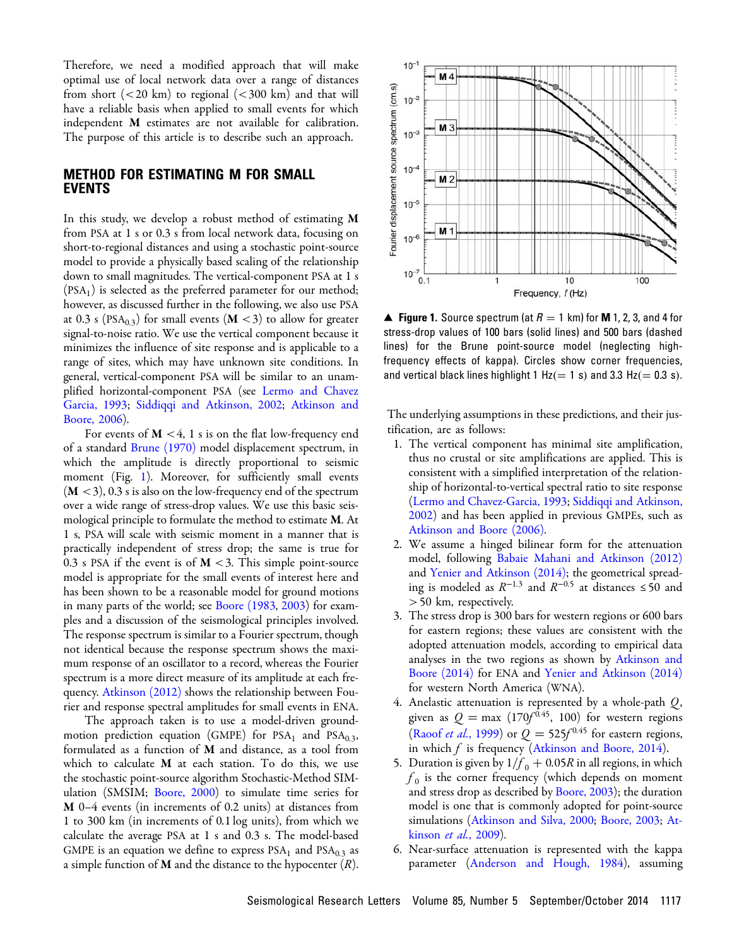Therefore, we need a modified approach that will make optimal use of local network data over a range of distances from short  $(< 20 \text{ km})$  to regional  $(< 300 \text{ km})$  and that will have a reliable basis when applied to small events for which independent M estimates are not available for calibration. The purpose of this article is to describe such an approach.

#### METHOD FOR ESTIMATING M FOR SMALL EVENTS

In this study, we develop a robust method of estimating  $M$ from PSA at 1 s or 0.3 s from local network data, focusing on short-to-regional distances and using a stochastic point-source model to provide a physically based scaling of the relationship down to small magnitudes. The vertical-component PSA at 1 s  $(PSA<sub>1</sub>)$  is selected as the preferred parameter for our method; however, as discussed further in the following, we also use PSA at 0.3 s (PSA<sub>0.3</sub>) for small events (**M** <3) to allow for greater signal-to-noise ratio. We use the vertical component because it minimizes the influence of site response and is applicable to a range of sites, which may have unknown site conditions. In general, vertical-component PSA will be similar to an unamplified horizontal-component PSA (see [Lermo and Chavez](#page-8-3) [Garcia, 1993](#page-8-3); [Siddiqqi and Atkinson, 2002](#page-8-4); [Atkinson and](#page-8-5) [Boore, 2006\)](#page-8-5).

For events of  $M < 4$ , 1 s is on the flat low-frequency end of a standard [Brune \(1970\)](#page-8-6) model displacement spectrum, in which the amplitude is directly proportional to seismic moment (Fig. [1](#page-1-0)). Moreover, for sufficiently small events  $(M < 3)$ , 0.3 s is also on the low-frequency end of the spectrum over a wide range of stress-drop values. We use this basic seismological principle to formulate the method to estimate **M**. At 1 s, PSA will scale with seismic moment in a manner that is practically independent of stress drop; the same is true for 0.3 s PSA if the event is of  $M < 3$ . This simple point-source model is appropriate for the small events of interest here and has been shown to be a reasonable model for ground motions in many parts of the world; see [Boore \(1983](#page-8-7), [2003\)](#page-8-8) for examples and a discussion of the seismological principles involved. The response spectrum is similar to a Fourier spectrum, though not identical because the response spectrum shows the maximum response of an oscillator to a record, whereas the Fourier spectrum is a more direct measure of its amplitude at each frequency. [Atkinson \(2012\)](#page-8-9) shows the relationship between Fourier and response spectral amplitudes for small events in ENA.

The approach taken is to use a model-driven groundmotion prediction equation (GMPE) for  $PSA<sub>1</sub>$  and  $PSA<sub>0.3</sub>$ , formulated as a function of M and distance, as a tool from which to calculate M at each station. To do this, we use the stochastic point-source algorithm Stochastic-Method SIM-ulation (SMSIM; [Boore, 2000\)](#page-8-10) to simulate time series for M 0–4 events (in increments of 0.2 units) at distances from 1 to 300 km (in increments of 0:1 log units), from which we calculate the average PSA at 1 s and 0.3 s. The model-based GMPE is an equation we define to express  $PSA<sub>1</sub>$  and  $PSA<sub>0,3</sub>$  as a simple function of **M** and the distance to the hypocenter  $(R)$ .

<span id="page-1-0"></span>

**▲ Figure 1.** Source spectrum (at  $R = 1$  km) for **M** 1, 2, 3, and 4 for stress-drop values of 100 bars (solid lines) and 500 bars (dashed lines) for the Brune point-source model (neglecting highfrequency effects of kappa). Circles show corner frequencies, and vertical black lines highlight 1  $Hz (= 1 s)$  and 3.3  $Hz (= 0.3 s)$ .

The underlying assumptions in these predictions, and their justification, are as follows:

- 1. The vertical component has minimal site amplification, thus no crustal or site amplifications are applied. This is consistent with a simplified interpretation of the relationship of horizontal-to-vertical spectral ratio to site response [\(Lermo and Chavez-Garcia, 1993](#page-8-3); [Siddiqqi and Atkinson,](#page-8-4) [2002](#page-8-4)) and has been applied in previous GMPEs, such as [Atkinson and Boore \(2006\)](#page-8-5).
- 2. We assume a hinged bilinear form for the attenuation model, following [Babaie Mahani and Atkinson \(2012\)](#page-8-11) and [Yenier and Atkinson \(2014\);](#page-8-12) the geometrical spreading is modeled as  $R^{-1.3}$  and  $R^{-0.5}$  at distances ≤50 and >50 km, respectively.
- 3. The stress drop is 300 bars for western regions or 600 bars for eastern regions; these values are consistent with the adopted attenuation models, according to empirical data analyses in the two regions as shown by [Atkinson and](#page-8-13) [Boore \(2014\)](#page-8-13) for ENA and [Yenier and Atkinson \(2014\)](#page-8-12) for western North America (WNA).
- 4. Anelastic attenuation is represented by a whole-path  $Q$ , given as  $Q = \max (170f^{0.45}, 100)$  for western regions (Raoof *et al.*[, 1999\)](#page-8-14) or  $Q = 525f^{0.45}$  for eastern regions, in which  $f$  is frequency ([Atkinson and Boore, 2014](#page-8-13)).
- 5. Duration is given by  $1/f_0 + 0.05R$  in all regions, in which  $f_0$  is the corner frequency (which depends on moment and stress drop as described by [Boore, 2003](#page-8-8)); the duration model is one that is commonly adopted for point-source simulations [\(Atkinson and Silva, 2000;](#page-8-15) [Boore, 2003;](#page-8-8) [At](#page-8-16)[kinson](#page-8-16) et al., 2009).
- 6. Near-surface attenuation is represented with the kappa parameter [\(Anderson and Hough, 1984](#page-8-17)), assuming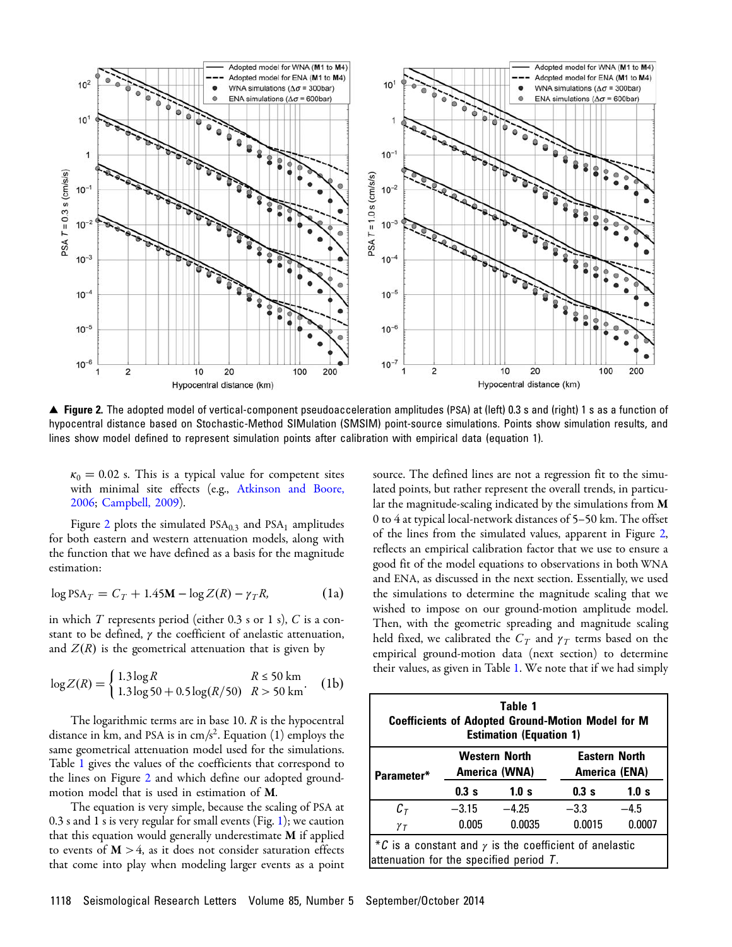<span id="page-2-0"></span>

▴ Figure 2. The adopted model of vertical-component pseudoacceleration amplitudes (PSA) at (left) 0.3 s and (right) 1 s as a function of hypocentral distance based on Stochastic-Method SIMulation (SMSIM) point-source simulations. Points show simulation results, and lines show model defined to represent simulation points after calibration with empirical data (equation 1).

 $\kappa_0 = 0.02$  s. This is a typical value for competent sites with minimal site effects (e.g., [Atkinson and Boore,](#page-8-5) [2006](#page-8-5); [Campbell, 2009\)](#page-8-18).

Figure [2](#page-2-0) plots the simulated  $PSA_{0.3}$  and  $PSA_1$  amplitudes for both eastern and western attenuation models, along with the function that we have defined as a basis for the magnitude estimation:

$$
\log PSA_T = C_T + 1.45M - \log Z(R) - \gamma_T R,\tag{1a}
$$

in which  $T$  represents period (either 0.3 s or 1 s),  $C$  is a constant to be defined,  $\gamma$  the coefficient of anelastic attenuation, and  $Z(R)$  is the geometrical attenuation that is given by

$$
\log Z(R) = \begin{cases} 1.3 \log R & R \le 50 \text{ km} \\ 1.3 \log 50 + 0.5 \log(R/50) & R > 50 \text{ km} \end{cases} \tag{1b}
$$

The logarithmic terms are in base 10.  $R$  is the hypocentral distance in km, and PSA is in cm/s<sup>2</sup>. Equation (1) employs the same geometrical attenuation model used for the simulations. Table [1](#page-2-1) gives the values of the coefficients that correspond to the lines on Figure [2](#page-2-0) and which define our adopted groundmotion model that is used in estimation of M.

The equation is very simple, because the scaling of PSA at 0.3 s and 1 s is very regular for small events (Fig. [1\)](#page-1-0); we caution that this equation would generally underestimate M if applied to events of  $M > 4$ , as it does not consider saturation effects that come into play when modeling larger events as a point source. The defined lines are not a regression fit to the simulated points, but rather represent the overall trends, in particular the magnitude-scaling indicated by the simulations from M 0 to 4 at typical local-network distances of 5–50 km. The offset of the lines from the simulated values, apparent in Figure [2,](#page-2-0) reflects an empirical calibration factor that we use to ensure a good fit of the model equations to observations in both WNA and ENA, as discussed in the next section. Essentially, we used the simulations to determine the magnitude scaling that we wished to impose on our ground-motion amplitude model. Then, with the geometric spreading and magnitude scaling held fixed, we calibrated the  $C_T$  and  $\gamma_T$  terms based on the empirical ground-motion data (next section) to determine their values, as given in Table [1.](#page-2-1) We note that if we had simply

<span id="page-2-1"></span>

| Table 1<br><b>Coefficients of Adopted Ground-Motion Model for M</b><br><b>Estimation (Equation 1)</b>       |                                       |         |                                       |        |
|-------------------------------------------------------------------------------------------------------------|---------------------------------------|---------|---------------------------------------|--------|
| Parameter*                                                                                                  | <b>Western North</b><br>America (WNA) |         | <b>Eastern North</b><br>America (ENA) |        |
|                                                                                                             | 0.3s                                  | 1.0 s   | 0.3s                                  | 1.0 s  |
| $c_{\tau}$                                                                                                  | $-3.15$                               | $-4.25$ | $-3.3$                                | $-4.5$ |
| $\gamma$ $\tau$                                                                                             | 0.005                                 | 0.0035  | 0.0015                                | 0.0007 |
| *C is a constant and $\gamma$ is the coefficient of anelastic<br>attenuation for the specified period $T$ . |                                       |         |                                       |        |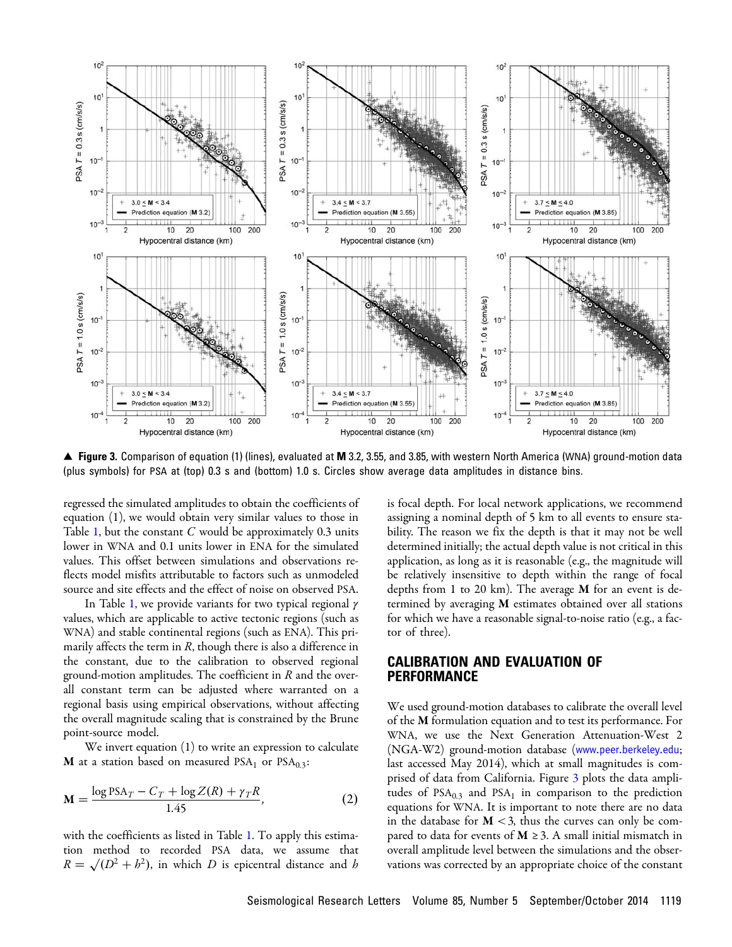<span id="page-3-0"></span>

▲ Figure 3. Comparison of equation (1) (lines), evaluated at M 3.2, 3.55, and 3.85, with western North America (WNA) ground-motion data (plus symbols) for PSA at (top) 0.3 s and (bottom) 1.0 s. Circles show average data amplitudes in distance bins.

regressed the simulated amplitudes to obtain the coefficients of equation (1), we would obtain very similar values to those in Table [1,](#page-2-1) but the constant  $C$  would be approximately 0.3 units lower in WNA and 0.1 units lower in ENA for the simulated values. This offset between simulations and observations reflects model misfits attributable to factors such as unmodeled source and site effects and the effect of noise on observed PSA.

In Table [1,](#page-2-1) we provide variants for two typical regional  $\gamma$ values, which are applicable to active tectonic regions (such as WNA) and stable continental regions (such as ENA). This primarily affects the term in  $R$ , though there is also a difference in the constant, due to the calibration to observed regional ground-motion amplitudes. The coefficient in  $R$  and the overall constant term can be adjusted where warranted on a regional basis using empirical observations, without affecting the overall magnitude scaling that is constrained by the Brune point-source model.

We invert equation (1) to write an expression to calculate **M** at a station based on measured PSA<sub>1</sub> or PSA<sub>0.3</sub>:

<span id="page-3-1"></span>
$$
\mathbf{M} = \frac{\log \text{PSA}_T - C_T + \log Z(R) + \gamma_T R}{1.45},\tag{2}
$$

with the coefficients as listed in Table [1.](#page-2-1) To apply this estimation method to recorded PSA data, we assume that  $R = \sqrt{(D^2 + b^2)}$ , in which D is epicentral distance and h

is focal depth. For local network applications, we recommend assigning a nominal depth of 5 km to all events to ensure stability. The reason we fix the depth is that it may not be well determined initially; the actual depth value is not critical in this application, as long as it is reasonable (e.g., the magnitude will be relatively insensitive to depth within the range of focal depths from 1 to 20 km). The average  $M$  for an event is determined by averaging M estimates obtained over all stations for which we have a reasonable signal-to-noise ratio (e.g., a factor of three).

#### CALIBRATION AND EVALUATION OF PERFORMANCE

We used ground-motion databases to calibrate the overall level of the M formulation equation and to test its performance. For WNA, we use the Next Generation Attenuation-West 2 (NGA-W2) ground-motion database ([www.peer.berkeley.edu](http://www.peer.berkeley.edu); last accessed May 2014), which at small magnitudes is comprised of data from California. Figure [3](#page-3-0) plots the data amplitudes of  $PSA_{0,3}$  and  $PSA_1$  in comparison to the prediction equations for WNA. It is important to note there are no data in the database for  $M < 3$ , thus the curves can only be compared to data for events of  $M \geq 3$ . A small initial mismatch in overall amplitude level between the simulations and the observations was corrected by an appropriate choice of the constant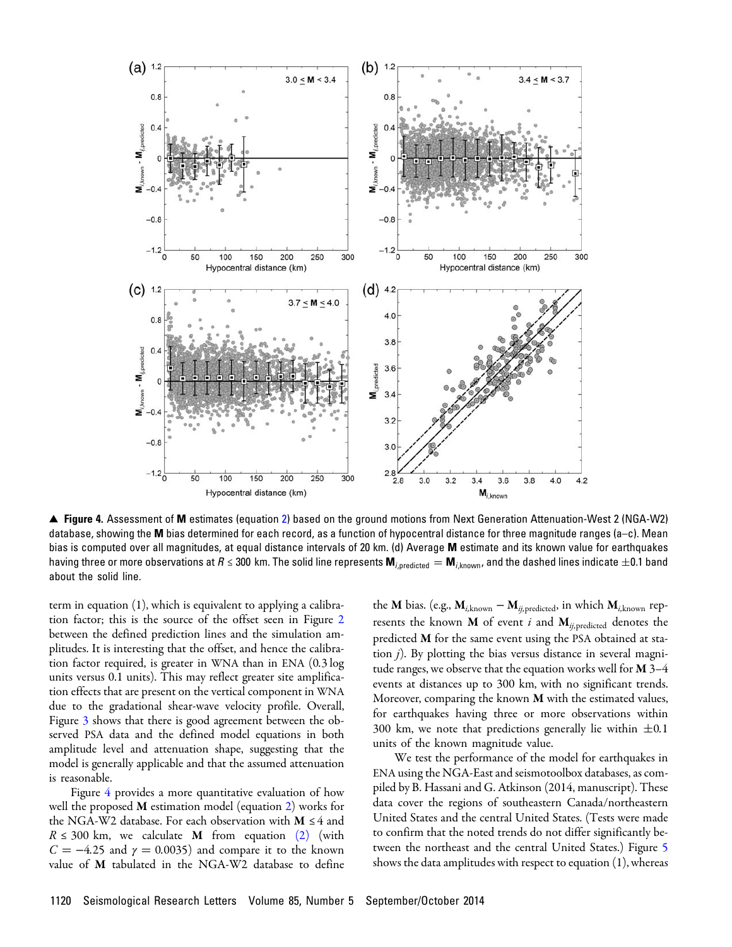<span id="page-4-0"></span>

▴ Figure 4. Assessment of M estimates (equation [2\)](#page-3-1) based on the ground motions from Next Generation Attenuation-West 2 (NGA-W2) database, showing the M bias determined for each record, as a function of hypocentral distance for three magnitude ranges (a–c). Mean bias is computed over all magnitudes, at equal distance intervals of 20 km. (d) Average M estimate and its known value for earthquakes having three or more observations at R ≤ 300 km. The solid line represents  $M_{i,predicted} = M_{i,known}$ , and the dashed lines indicate  $\pm 0.1$  band about the solid line.

term in equation (1), which is equivalent to applying a calibration factor; this is the source of the offset seen in Figure [2](#page-2-0) between the defined prediction lines and the simulation amplitudes. It is interesting that the offset, and hence the calibration factor required, is greater in WNA than in ENA (0.3 log units versus 0.1 units). This may reflect greater site amplification effects that are present on the vertical component in WNA due to the gradational shear-wave velocity profile. Overall, Figure [3](#page-3-0) shows that there is good agreement between the observed PSA data and the defined model equations in both amplitude level and attenuation shape, suggesting that the model is generally applicable and that the assumed attenuation is reasonable.

Figure [4](#page-4-0) provides a more quantitative evaluation of how well the proposed M estimation model (equation [2\)](#page-3-1) works for the NGA-W2 database. For each observation with  $M \leq 4$  and  $R \le 300$  km, we calculate **M** from equation [\(2\)](#page-3-1) (with  $C = -4.25$  and  $\gamma = 0.0035$ ) and compare it to the known value of M tabulated in the NGA-W2 database to define

the **M** bias. (e.g.,  $M_{i, \text{known}} - M_{i, \text{predicted}}$ , in which  $M_{i, \text{known}}$  represents the known  $M$  of event i and  $M_{ij,predicted}$  denotes the predicted M for the same event using the PSA obtained at station  $j$ ). By plotting the bias versus distance in several magnitude ranges, we observe that the equation works well for  $M$  3-4 events at distances up to 300 km, with no significant trends. Moreover, comparing the known  $M$  with the estimated values, for earthquakes having three or more observations within 300 km, we note that predictions generally lie within  $\pm 0.1$ units of the known magnitude value.

We test the performance of the model for earthquakes in ENA using the NGA-East and seismotoolbox databases, as compiled by B. Hassani and G. Atkinson (2014, manuscript). These data cover the regions of southeastern Canada/northeastern United States and the central United States. (Tests were made to confirm that the noted trends do not differ significantly between the northeast and the central United States.) Figure [5](#page-5-0) shows the data amplitudes with respect to equation (1), whereas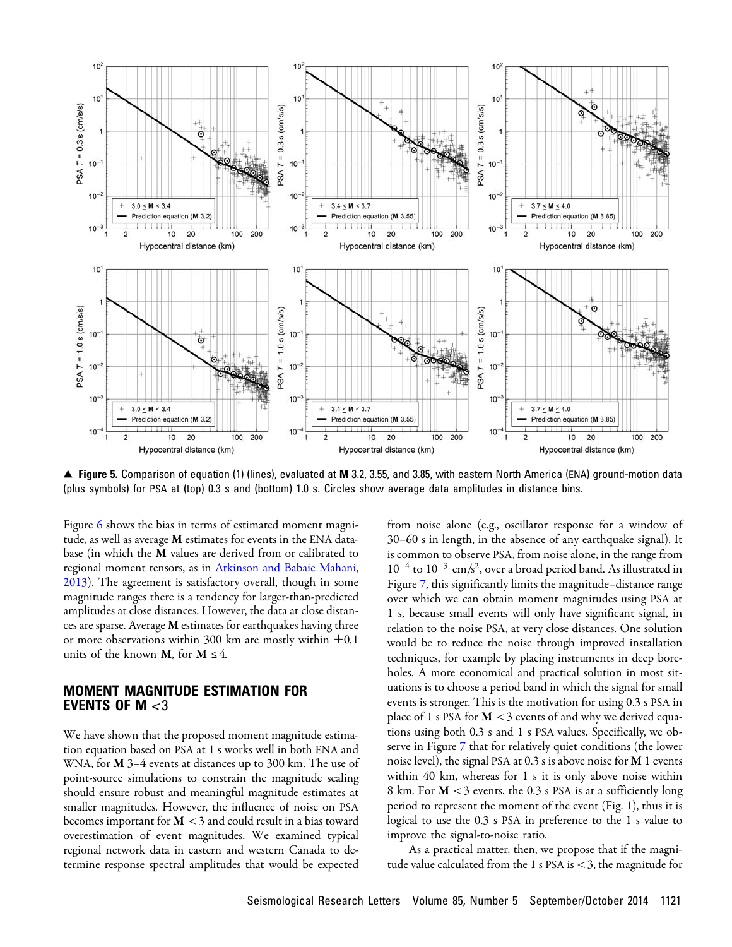<span id="page-5-0"></span>

▲ Figure 5. Comparison of equation (1) (lines), evaluated at M 3.2, 3.55, and 3.85, with eastern North America (ENA) ground-motion data (plus symbols) for PSA at (top) 0.3 s and (bottom) 1.0 s. Circles show average data amplitudes in distance bins.

Figure [6](#page-6-0) shows the bias in terms of estimated moment magnitude, as well as average M estimates for events in the ENA database (in which the M values are derived from or calibrated to regional moment tensors, as in [Atkinson and Babaie Mahani,](#page-8-2) [2013](#page-8-2)). The agreement is satisfactory overall, though in some magnitude ranges there is a tendency for larger-than-predicted amplitudes at close distances. However, the data at close distances are sparse. Average M estimates for earthquakes having three or more observations within 300 km are mostly within  $\pm 0.1$ units of the known **M**, for **M**  $\leq$  4.

#### MOMENT MAGNITUDE ESTIMATION FOR EVENTS OF M  $<$ 3

We have shown that the proposed moment magnitude estimation equation based on PSA at 1 s works well in both ENA and WNA, for **M** 3–4 events at distances up to 300 km. The use of point-source simulations to constrain the magnitude scaling should ensure robust and meaningful magnitude estimates at smaller magnitudes. However, the influence of noise on PSA becomes important for  $M < 3$  and could result in a bias toward overestimation of event magnitudes. We examined typical regional network data in eastern and western Canada to determine response spectral amplitudes that would be expected

from noise alone (e.g., oscillator response for a window of 30–60 s in length, in the absence of any earthquake signal). It is common to observe PSA, from noise alone, in the range from  $10^{-4}$  to  $10^{-3}$  cm/s<sup>2</sup>, over a broad period band. As illustrated in Figure [7](#page-7-0), this significantly limits the magnitude–distance range over which we can obtain moment magnitudes using PSA at 1 s, because small events will only have significant signal, in relation to the noise PSA, at very close distances. One solution would be to reduce the noise through improved installation techniques, for example by placing instruments in deep boreholes. A more economical and practical solution in most situations is to choose a period band in which the signal for small events is stronger. This is the motivation for using 0.3 s PSA in place of 1 s PSA for  $M < 3$  events of and why we derived equations using both 0.3 s and 1 s PSA values. Specifically, we observe in Figure [7](#page-7-0) that for relatively quiet conditions (the lower noise level), the signal PSA at 0.3 s is above noise for M 1 events within 40 km, whereas for 1 s it is only above noise within 8 km. For  $M < 3$  events, the 0.3 s PSA is at a sufficiently long period to represent the moment of the event (Fig. [1](#page-1-0)), thus it is logical to use the 0.3 s PSA in preference to the 1 s value to improve the signal-to-noise ratio.

As a practical matter, then, we propose that if the magnitude value calculated from the 1 s PSA is  $<$  3, the magnitude for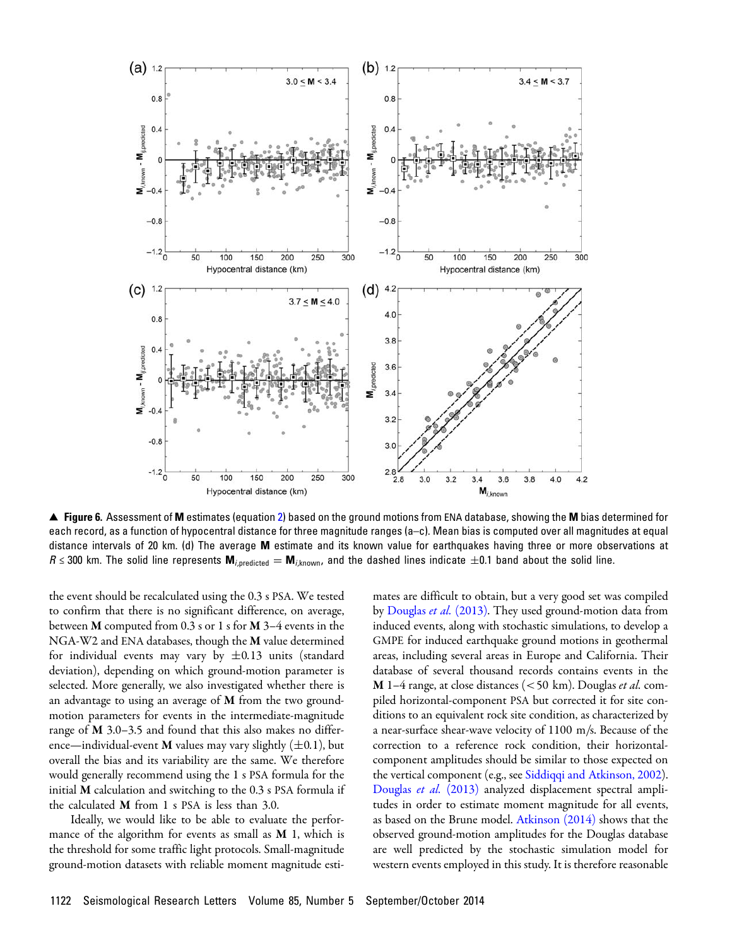<span id="page-6-0"></span>

▴ Figure 6. Assessment of M estimates (equation [2\)](#page-3-1) based on the ground motions from ENA database, showing the M bias determined for each record, as a function of hypocentral distance for three magnitude ranges (a–c). Mean bias is computed over all magnitudes at equal distance intervals of 20 km. (d) The average M estimate and its known value for earthquakes having three or more observations at  $R \leq 300$  km. The solid line represents  $M_{i,predicted} = M_{i,known}$ , and the dashed lines indicate  $\pm 0.1$  band about the solid line.

the event should be recalculated using the 0.3 s PSA. We tested to confirm that there is no significant difference, on average, between M computed from 0.3 s or 1 s for M 3–4 events in the NGA-W2 and ENA databases, though the M value determined for individual events may vary by  $\pm 0.13$  units (standard deviation), depending on which ground-motion parameter is selected. More generally, we also investigated whether there is an advantage to using an average of M from the two groundmotion parameters for events in the intermediate-magnitude range of M 3.0–3.5 and found that this also makes no difference—individual-event **M** values may vary slightly  $(\pm 0.1)$ , but overall the bias and its variability are the same. We therefore would generally recommend using the 1 s PSA formula for the initial M calculation and switching to the 0.3 s PSA formula if the calculated M from 1 s PSA is less than 3.0.

Ideally, we would like to be able to evaluate the performance of the algorithm for events as small as  $M$  1, which is the threshold for some traffic light protocols. Small-magnitude ground-motion datasets with reliable moment magnitude esti-

mates are difficult to obtain, but a very good set was compiled by [Douglas](#page-8-19) et al. (2013). They used ground-motion data from induced events, along with stochastic simulations, to develop a GMPE for induced earthquake ground motions in geothermal areas, including several areas in Europe and California. Their database of several thousand records contains events in the  $M$  1–4 range, at close distances (<50 km). Douglas *et al.* compiled horizontal-component PSA but corrected it for site conditions to an equivalent rock site condition, as characterized by a near-surface shear-wave velocity of  $1100$  m/s. Because of the correction to a reference rock condition, their horizontalcomponent amplitudes should be similar to those expected on the vertical component (e.g., see [Siddiqqi and Atkinson, 2002](#page-8-4)). [Douglas](#page-8-19) et al. (2013) analyzed displacement spectral amplitudes in order to estimate moment magnitude for all events, as based on the Brune model. [Atkinson \(2014\)](#page-8-20) shows that the observed ground-motion amplitudes for the Douglas database are well predicted by the stochastic simulation model for western events employed in this study. It is therefore reasonable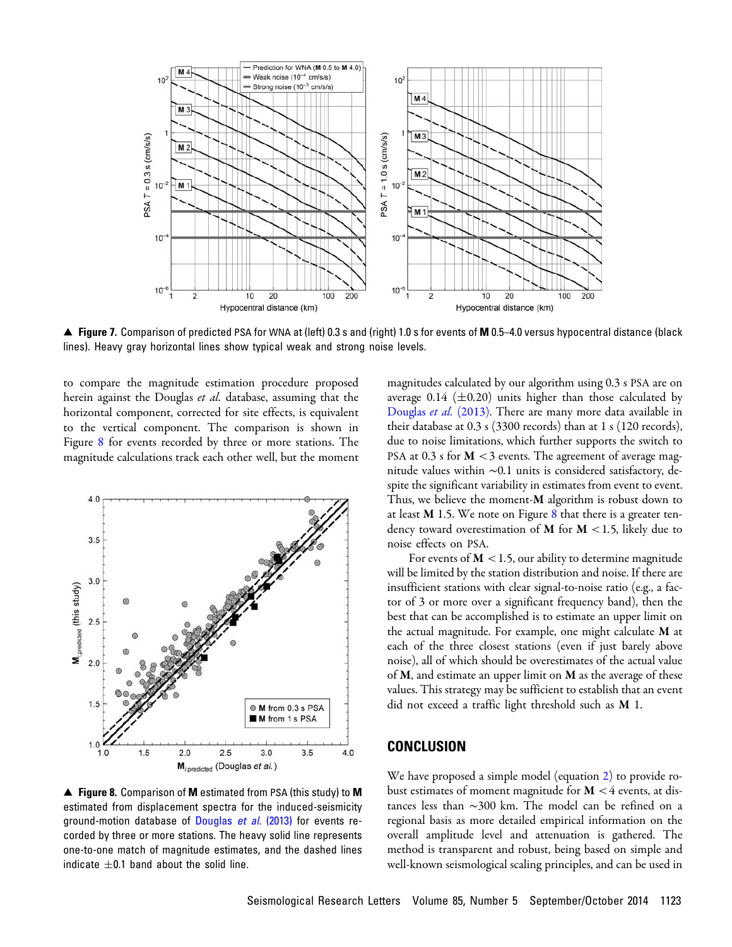<span id="page-7-0"></span>

▲ Figure 7. Comparison of predicted PSA for WNA at (left) 0.3 s and (right) 1.0 s for events of M 0.5–4.0 versus hypocentral distance (black lines). Heavy gray horizontal lines show typical weak and strong noise levels.

to compare the magnitude estimation procedure proposed herein against the Douglas *et al*. database, assuming that the horizontal component, corrected for site effects, is equivalent to the vertical component. The comparison is shown in Figure [8](#page-7-1) for events recorded by three or more stations. The magnitude calculations track each other well, but the moment

<span id="page-7-1"></span>

▲ Figure 8. Comparison of M estimated from PSA (this study) to M estimated from displacement spectra for the induced-seismicity ground-motion database of [Douglas](#page-8-19) et al. (2013) for events recorded by three or more stations. The heavy solid line represents one-to-one match of magnitude estimates, and the dashed lines indicate  $\pm 0.1$  band about the solid line.

magnitudes calculated by our algorithm using 0.3 s PSA are on average 0.14 ( $\pm$ 0.20) units higher than those calculated by [Douglas](#page-8-19) et al. (2013). There are many more data available in their database at 0.3 s (3300 records) than at 1 s (120 records), due to noise limitations, which further supports the switch to PSA at 0.3 s for  $M < 3$  events. The agreement of average magnitude values within ∼0:1 units is considered satisfactory, despite the significant variability in estimates from event to event. Thus, we believe the moment- $M$  algorithm is robust down to at least  $M$  1.5. We note on Figure  $8$  that there is a greater tendency toward overestimation of  $M$  for  $M < 1.5$ , likely due to noise effects on PSA.

For events of  $M < 1.5$ , our ability to determine magnitude will be limited by the station distribution and noise. If there are insufficient stations with clear signal-to-noise ratio (e.g., a factor of 3 or more over a significant frequency band), then the best that can be accomplished is to estimate an upper limit on the actual magnitude. For example, one might calculate M at each of the three closest stations (even if just barely above noise), all of which should be overestimates of the actual value of  $M$ , and estimate an upper limit on  $M$  as the average of these values. This strategy may be sufficient to establish that an event did not exceed a traffic light threshold such as M 1.

#### **CONCLUSION**

We have proposed a simple model (equation [2](#page-3-1)) to provide robust estimates of moment magnitude for  $M < 4$  events, at distances less than ∼300 km. The model can be refined on a regional basis as more detailed empirical information on the overall amplitude level and attenuation is gathered. The method is transparent and robust, being based on simple and well-known seismological scaling principles, and can be used in